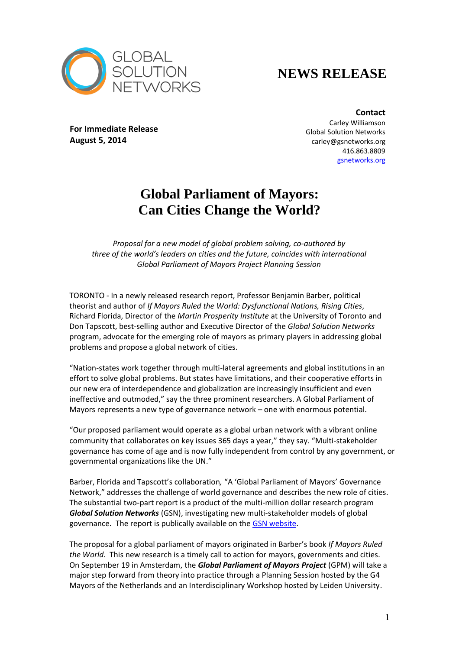

## **NEWS RELEASE**

**For Immediate Release August 5, 2014**

**Contact** Carley Williamson Global Solution Networks carley@gsnetworks.org 416.863.8809 [gsnetworks.org](http://gsnetworks.org/)

## **Global Parliament of Mayors: Can Cities Change the World?**

*Proposal for a new model of global problem solving, co-authored by three of the world's leaders on cities and the future, coincides with international Global Parliament of Mayors Project Planning Session*

TORONTO - In a newly released research report, Professor Benjamin Barber, political theorist and author of *If Mayors Ruled the World: Dysfunctional Nations, Rising Cities*, Richard Florida, Director of the *Martin Prosperity Institute* at the University of Toronto and Don Tapscott, best-selling author and Executive Director of the *Global Solution Networks* program, advocate for the emerging role of mayors as primary players in addressing global problems and propose a global network of cities.

"Nation-states work together through multi-lateral agreements and global institutions in an effort to solve global problems. But states have limitations, and their cooperative efforts in our new era of interdependence and globalization are increasingly insufficient and even ineffective and outmoded," say the three prominent researchers. A Global Parliament of Mayors represents a new type of governance network – one with enormous potential.

"Our proposed parliament would operate as a global urban network with a vibrant online community that collaborates on key issues 365 days a year," they say. "Multi-stakeholder governance has come of age and is now fully independent from control by any government, or governmental organizations like the UN."

Barber, Florida and Tapscott's collaboration*,* "A 'Global Parliament of Mayors' Governance Network," addresses the challenge of world governance and describes the new role of cities. The substantial two-part report is a product of the multi-million dollar research program *Global Solution Networks* (GSN), investigating new multi-stakeholder models of global governance. The report is publically available on the [GSN website.](http://gsnetworks.org/the-parliament-of-mayors/)

The proposal for a global parliament of mayors originated in Barber's book *If Mayors Ruled the World.* This new research is a timely call to action for mayors, governments and cities. On September 19 in Amsterdam, the *Global Parliament of Mayors Project* (GPM) will take a major step forward from theory into practice through a Planning Session hosted by the G4 Mayors of the Netherlands and an Interdisciplinary Workshop hosted by Leiden University.